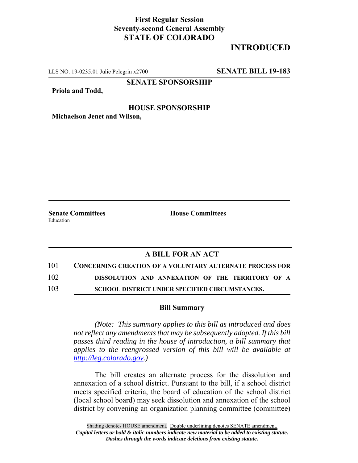## **First Regular Session Seventy-second General Assembly STATE OF COLORADO**

# **INTRODUCED**

LLS NO. 19-0235.01 Julie Pelegrin x2700 **SENATE BILL 19-183**

**SENATE SPONSORSHIP**

**Priola and Todd,**

#### **HOUSE SPONSORSHIP**

**Michaelson Jenet and Wilson,**

Education

**Senate Committees House Committees** 

### **A BILL FOR AN ACT**

101 **CONCERNING CREATION OF A VOLUNTARY ALTERNATE PROCESS FOR**

102 **DISSOLUTION AND ANNEXATION OF THE TERRITORY OF A**

103 **SCHOOL DISTRICT UNDER SPECIFIED CIRCUMSTANCES.**

#### **Bill Summary**

*(Note: This summary applies to this bill as introduced and does not reflect any amendments that may be subsequently adopted. If this bill passes third reading in the house of introduction, a bill summary that applies to the reengrossed version of this bill will be available at http://leg.colorado.gov.)*

The bill creates an alternate process for the dissolution and annexation of a school district. Pursuant to the bill, if a school district meets specified criteria, the board of education of the school district (local school board) may seek dissolution and annexation of the school district by convening an organization planning committee (committee)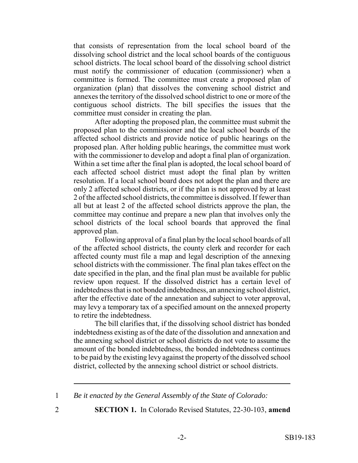that consists of representation from the local school board of the dissolving school district and the local school boards of the contiguous school districts. The local school board of the dissolving school district must notify the commissioner of education (commissioner) when a committee is formed. The committee must create a proposed plan of organization (plan) that dissolves the convening school district and annexes the territory of the dissolved school district to one or more of the contiguous school districts. The bill specifies the issues that the committee must consider in creating the plan.

After adopting the proposed plan, the committee must submit the proposed plan to the commissioner and the local school boards of the affected school districts and provide notice of public hearings on the proposed plan. After holding public hearings, the committee must work with the commissioner to develop and adopt a final plan of organization. Within a set time after the final plan is adopted, the local school board of each affected school district must adopt the final plan by written resolution. If a local school board does not adopt the plan and there are only 2 affected school districts, or if the plan is not approved by at least 2 of the affected school districts, the committee is dissolved. If fewer than all but at least 2 of the affected school districts approve the plan, the committee may continue and prepare a new plan that involves only the school districts of the local school boards that approved the final approved plan.

Following approval of a final plan by the local school boards of all of the affected school districts, the county clerk and recorder for each affected county must file a map and legal description of the annexing school districts with the commissioner. The final plan takes effect on the date specified in the plan, and the final plan must be available for public review upon request. If the dissolved district has a certain level of indebtedness that is not bonded indebtedness, an annexing school district, after the effective date of the annexation and subject to voter approval, may levy a temporary tax of a specified amount on the annexed property to retire the indebtedness.

The bill clarifies that, if the dissolving school district has bonded indebtedness existing as of the date of the dissolution and annexation and the annexing school district or school districts do not vote to assume the amount of the bonded indebtedness, the bonded indebtedness continues to be paid by the existing levy against the property of the dissolved school district, collected by the annexing school district or school districts.

1 *Be it enacted by the General Assembly of the State of Colorado:*

2 **SECTION 1.** In Colorado Revised Statutes, 22-30-103, **amend**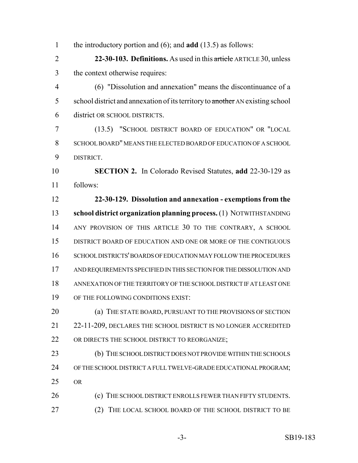the introductory portion and (6); and **add** (13.5) as follows: **22-30-103. Definitions.** As used in this article ARTICLE 30, unless the context otherwise requires: (6) "Dissolution and annexation" means the discontinuance of a 5 school district and annexation of its territory to another AN existing school district OR SCHOOL DISTRICTS. (13.5) "SCHOOL DISTRICT BOARD OF EDUCATION" OR "LOCAL SCHOOL BOARD" MEANS THE ELECTED BOARD OF EDUCATION OF A SCHOOL DISTRICT. **SECTION 2.** In Colorado Revised Statutes, **add** 22-30-129 as follows: **22-30-129. Dissolution and annexation - exemptions from the school district organization planning process.** (1) NOTWITHSTANDING 14 ANY PROVISION OF THIS ARTICLE 30 TO THE CONTRARY, A SCHOOL DISTRICT BOARD OF EDUCATION AND ONE OR MORE OF THE CONTIGUOUS SCHOOL DISTRICTS' BOARDS OF EDUCATION MAY FOLLOW THE PROCEDURES AND REQUIREMENTS SPECIFIED IN THIS SECTION FOR THE DISSOLUTION AND ANNEXATION OF THE TERRITORY OF THE SCHOOL DISTRICT IF AT LEAST ONE OF THE FOLLOWING CONDITIONS EXIST: **(a) THE STATE BOARD, PURSUANT TO THE PROVISIONS OF SECTION** 21 22-11-209, DECLARES THE SCHOOL DISTRICT IS NO LONGER ACCREDITED 22 OR DIRECTS THE SCHOOL DISTRICT TO REORGANIZE; 23 (b) THE SCHOOL DISTRICT DOES NOT PROVIDE WITHIN THE SCHOOLS OF THE SCHOOL DISTRICT A FULL TWELVE-GRADE EDUCATIONAL PROGRAM; OR 26 (c) THE SCHOOL DISTRICT ENROLLS FEWER THAN FIFTY STUDENTS. (2) THE LOCAL SCHOOL BOARD OF THE SCHOOL DISTRICT TO BE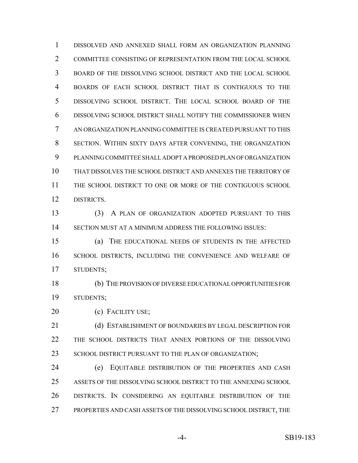DISSOLVED AND ANNEXED SHALL FORM AN ORGANIZATION PLANNING COMMITTEE CONSISTING OF REPRESENTATION FROM THE LOCAL SCHOOL BOARD OF THE DISSOLVING SCHOOL DISTRICT AND THE LOCAL SCHOOL BOARDS OF EACH SCHOOL DISTRICT THAT IS CONTIGUOUS TO THE DISSOLVING SCHOOL DISTRICT. THE LOCAL SCHOOL BOARD OF THE DISSOLVING SCHOOL DISTRICT SHALL NOTIFY THE COMMISSIONER WHEN AN ORGANIZATION PLANNING COMMITTEE IS CREATED PURSUANT TO THIS SECTION. WITHIN SIXTY DAYS AFTER CONVENING, THE ORGANIZATION PLANNING COMMITTEE SHALL ADOPT A PROPOSED PLAN OF ORGANIZATION THAT DISSOLVES THE SCHOOL DISTRICT AND ANNEXES THE TERRITORY OF THE SCHOOL DISTRICT TO ONE OR MORE OF THE CONTIGUOUS SCHOOL DISTRICTS. (3) A PLAN OF ORGANIZATION ADOPTED PURSUANT TO THIS

SECTION MUST AT A MINIMUM ADDRESS THE FOLLOWING ISSUES:

 (a) THE EDUCATIONAL NEEDS OF STUDENTS IN THE AFFECTED SCHOOL DISTRICTS, INCLUDING THE CONVENIENCE AND WELFARE OF STUDENTS;

 (b) THE PROVISION OF DIVERSE EDUCATIONAL OPPORTUNITIES FOR STUDENTS;

20 (c) FACILITY USE;

 (d) ESTABLISHMENT OF BOUNDARIES BY LEGAL DESCRIPTION FOR THE SCHOOL DISTRICTS THAT ANNEX PORTIONS OF THE DISSOLVING 23 SCHOOL DISTRICT PURSUANT TO THE PLAN OF ORGANIZATION;

 (e) EQUITABLE DISTRIBUTION OF THE PROPERTIES AND CASH ASSETS OF THE DISSOLVING SCHOOL DISTRICT TO THE ANNEXING SCHOOL DISTRICTS. IN CONSIDERING AN EQUITABLE DISTRIBUTION OF THE PROPERTIES AND CASH ASSETS OF THE DISSOLVING SCHOOL DISTRICT, THE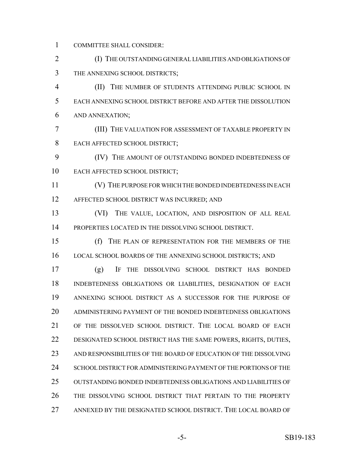COMMITTEE SHALL CONSIDER:

 (I) THE OUTSTANDING GENERAL LIABILITIES AND OBLIGATIONS OF THE ANNEXING SCHOOL DISTRICTS;

 (II) THE NUMBER OF STUDENTS ATTENDING PUBLIC SCHOOL IN EACH ANNEXING SCHOOL DISTRICT BEFORE AND AFTER THE DISSOLUTION AND ANNEXATION;

 (III) THE VALUATION FOR ASSESSMENT OF TAXABLE PROPERTY IN EACH AFFECTED SCHOOL DISTRICT;

 (IV) THE AMOUNT OF OUTSTANDING BONDED INDEBTEDNESS OF EACH AFFECTED SCHOOL DISTRICT;

 (V) THE PURPOSE FOR WHICH THE BONDED INDEBTEDNESS IN EACH AFFECTED SCHOOL DISTRICT WAS INCURRED; AND

 (VI) THE VALUE, LOCATION, AND DISPOSITION OF ALL REAL PROPERTIES LOCATED IN THE DISSOLVING SCHOOL DISTRICT.

 (f) THE PLAN OF REPRESENTATION FOR THE MEMBERS OF THE 16 LOCAL SCHOOL BOARDS OF THE ANNEXING SCHOOL DISTRICTS; AND

 (g) IF THE DISSOLVING SCHOOL DISTRICT HAS BONDED INDEBTEDNESS OBLIGATIONS OR LIABILITIES, DESIGNATION OF EACH ANNEXING SCHOOL DISTRICT AS A SUCCESSOR FOR THE PURPOSE OF ADMINISTERING PAYMENT OF THE BONDED INDEBTEDNESS OBLIGATIONS OF THE DISSOLVED SCHOOL DISTRICT. THE LOCAL BOARD OF EACH DESIGNATED SCHOOL DISTRICT HAS THE SAME POWERS, RIGHTS, DUTIES, AND RESPONSIBILITIES OF THE BOARD OF EDUCATION OF THE DISSOLVING 24 SCHOOL DISTRICT FOR ADMINISTERING PAYMENT OF THE PORTIONS OF THE OUTSTANDING BONDED INDEBTEDNESS OBLIGATIONS AND LIABILITIES OF THE DISSOLVING SCHOOL DISTRICT THAT PERTAIN TO THE PROPERTY ANNEXED BY THE DESIGNATED SCHOOL DISTRICT. THE LOCAL BOARD OF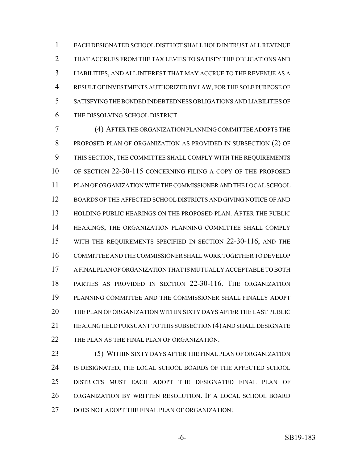EACH DESIGNATED SCHOOL DISTRICT SHALL HOLD IN TRUST ALL REVENUE THAT ACCRUES FROM THE TAX LEVIES TO SATISFY THE OBLIGATIONS AND LIABILITIES, AND ALL INTEREST THAT MAY ACCRUE TO THE REVENUE AS A RESULT OF INVESTMENTS AUTHORIZED BY LAW, FOR THE SOLE PURPOSE OF SATISFYING THE BONDED INDEBTEDNESS OBLIGATIONS AND LIABILITIES OF THE DISSOLVING SCHOOL DISTRICT.

 (4) AFTER THE ORGANIZATION PLANNING COMMITTEE ADOPTS THE PROPOSED PLAN OF ORGANIZATION AS PROVIDED IN SUBSECTION (2) OF THIS SECTION, THE COMMITTEE SHALL COMPLY WITH THE REQUIREMENTS OF SECTION 22-30-115 CONCERNING FILING A COPY OF THE PROPOSED PLAN OF ORGANIZATION WITH THE COMMISSIONER AND THE LOCAL SCHOOL BOARDS OF THE AFFECTED SCHOOL DISTRICTS AND GIVING NOTICE OF AND HOLDING PUBLIC HEARINGS ON THE PROPOSED PLAN. AFTER THE PUBLIC HEARINGS, THE ORGANIZATION PLANNING COMMITTEE SHALL COMPLY WITH THE REQUIREMENTS SPECIFIED IN SECTION 22-30-116, AND THE COMMITTEE AND THE COMMISSIONER SHALL WORK TOGETHER TO DEVELOP A FINAL PLAN OF ORGANIZATION THAT IS MUTUALLY ACCEPTABLE TO BOTH PARTIES AS PROVIDED IN SECTION 22-30-116. THE ORGANIZATION PLANNING COMMITTEE AND THE COMMISSIONER SHALL FINALLY ADOPT THE PLAN OF ORGANIZATION WITHIN SIXTY DAYS AFTER THE LAST PUBLIC HEARING HELD PURSUANT TO THIS SUBSECTION (4) AND SHALL DESIGNATE THE PLAN AS THE FINAL PLAN OF ORGANIZATION.

 (5) WITHIN SIXTY DAYS AFTER THE FINAL PLAN OF ORGANIZATION IS DESIGNATED, THE LOCAL SCHOOL BOARDS OF THE AFFECTED SCHOOL DISTRICTS MUST EACH ADOPT THE DESIGNATED FINAL PLAN OF ORGANIZATION BY WRITTEN RESOLUTION. IF A LOCAL SCHOOL BOARD DOES NOT ADOPT THE FINAL PLAN OF ORGANIZATION: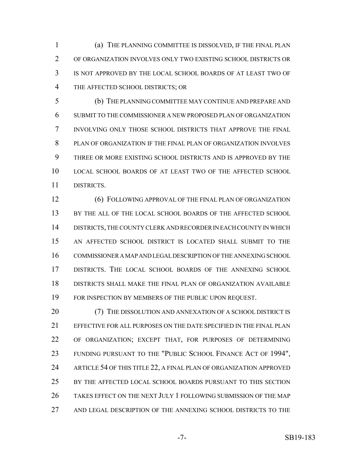(a) THE PLANNING COMMITTEE IS DISSOLVED, IF THE FINAL PLAN OF ORGANIZATION INVOLVES ONLY TWO EXISTING SCHOOL DISTRICTS OR IS NOT APPROVED BY THE LOCAL SCHOOL BOARDS OF AT LEAST TWO OF THE AFFECTED SCHOOL DISTRICTS; OR

 (b) THE PLANNING COMMITTEE MAY CONTINUE AND PREPARE AND SUBMIT TO THE COMMISSIONER A NEW PROPOSED PLAN OF ORGANIZATION INVOLVING ONLY THOSE SCHOOL DISTRICTS THAT APPROVE THE FINAL PLAN OF ORGANIZATION IF THE FINAL PLAN OF ORGANIZATION INVOLVES THREE OR MORE EXISTING SCHOOL DISTRICTS AND IS APPROVED BY THE LOCAL SCHOOL BOARDS OF AT LEAST TWO OF THE AFFECTED SCHOOL DISTRICTS.

 (6) FOLLOWING APPROVAL OF THE FINAL PLAN OF ORGANIZATION BY THE ALL OF THE LOCAL SCHOOL BOARDS OF THE AFFECTED SCHOOL DISTRICTS, THE COUNTY CLERK AND RECORDER IN EACH COUNTY IN WHICH AN AFFECTED SCHOOL DISTRICT IS LOCATED SHALL SUBMIT TO THE COMMISSIONER A MAP AND LEGAL DESCRIPTION OF THE ANNEXING SCHOOL DISTRICTS. THE LOCAL SCHOOL BOARDS OF THE ANNEXING SCHOOL DISTRICTS SHALL MAKE THE FINAL PLAN OF ORGANIZATION AVAILABLE FOR INSPECTION BY MEMBERS OF THE PUBLIC UPON REQUEST.

20 (7) THE DISSOLUTION AND ANNEXATION OF A SCHOOL DISTRICT IS EFFECTIVE FOR ALL PURPOSES ON THE DATE SPECIFIED IN THE FINAL PLAN OF ORGANIZATION; EXCEPT THAT, FOR PURPOSES OF DETERMINING FUNDING PURSUANT TO THE "PUBLIC SCHOOL FINANCE ACT OF 1994", ARTICLE 54 OF THIS TITLE 22, A FINAL PLAN OF ORGANIZATION APPROVED BY THE AFFECTED LOCAL SCHOOL BOARDS PURSUANT TO THIS SECTION TAKES EFFECT ON THE NEXT JULY 1 FOLLOWING SUBMISSION OF THE MAP AND LEGAL DESCRIPTION OF THE ANNEXING SCHOOL DISTRICTS TO THE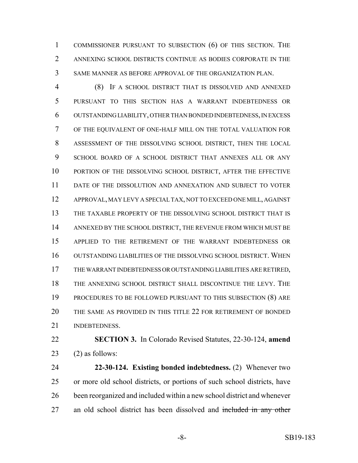COMMISSIONER PURSUANT TO SUBSECTION (6) OF THIS SECTION. THE ANNEXING SCHOOL DISTRICTS CONTINUE AS BODIES CORPORATE IN THE SAME MANNER AS BEFORE APPROVAL OF THE ORGANIZATION PLAN.

 (8) IF A SCHOOL DISTRICT THAT IS DISSOLVED AND ANNEXED PURSUANT TO THIS SECTION HAS A WARRANT INDEBTEDNESS OR OUTSTANDING LIABILITY, OTHER THAN BONDED INDEBTEDNESS, IN EXCESS OF THE EQUIVALENT OF ONE-HALF MILL ON THE TOTAL VALUATION FOR ASSESSMENT OF THE DISSOLVING SCHOOL DISTRICT, THEN THE LOCAL SCHOOL BOARD OF A SCHOOL DISTRICT THAT ANNEXES ALL OR ANY PORTION OF THE DISSOLVING SCHOOL DISTRICT, AFTER THE EFFECTIVE DATE OF THE DISSOLUTION AND ANNEXATION AND SUBJECT TO VOTER APPROVAL, MAY LEVY A SPECIAL TAX, NOT TO EXCEED ONE MILL, AGAINST THE TAXABLE PROPERTY OF THE DISSOLVING SCHOOL DISTRICT THAT IS ANNEXED BY THE SCHOOL DISTRICT, THE REVENUE FROM WHICH MUST BE APPLIED TO THE RETIREMENT OF THE WARRANT INDEBTEDNESS OR OUTSTANDING LIABILITIES OF THE DISSOLVING SCHOOL DISTRICT. WHEN THE WARRANT INDEBTEDNESS OR OUTSTANDING LIABILITIES ARE RETIRED, THE ANNEXING SCHOOL DISTRICT SHALL DISCONTINUE THE LEVY. THE PROCEDURES TO BE FOLLOWED PURSUANT TO THIS SUBSECTION (8) ARE THE SAME AS PROVIDED IN THIS TITLE 22 FOR RETIREMENT OF BONDED INDEBTEDNESS.

 **SECTION 3.** In Colorado Revised Statutes, 22-30-124, **amend** 23  $(2)$  as follows:

 **22-30-124. Existing bonded indebtedness.** (2) Whenever two or more old school districts, or portions of such school districts, have been reorganized and included within a new school district and whenever 27 an old school district has been dissolved and included in any other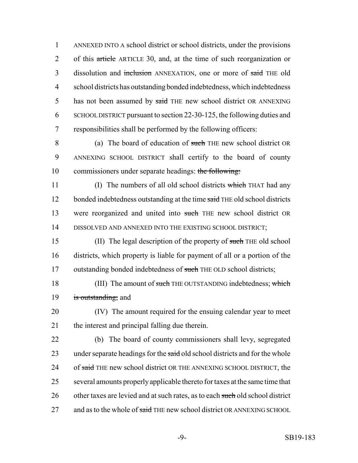1 ANNEXED INTO A school district or school districts, under the provisions 2 of this article ARTICLE 30, and, at the time of such reorganization or 3 dissolution and inclusion ANNEXATION, one or more of said THE old 4 school districts has outstanding bonded indebtedness, which indebtedness 5 has not been assumed by said THE new school district OR ANNEXING 6 SCHOOL DISTRICT pursuant to section 22-30-125, the following duties and 7 responsibilities shall be performed by the following officers:

8 (a) The board of education of such THE new school district OR 9 ANNEXING SCHOOL DISTRICT shall certify to the board of county 10 commissioners under separate headings: the following:

11 (I) The numbers of all old school districts which THAT had any 12 bonded indebtedness outstanding at the time said THE old school districts 13 were reorganized and united into such THE new school district OR 14 DISSOLVED AND ANNEXED INTO THE EXISTING SCHOOL DISTRICT;

15 (II) The legal description of the property of such THE old school 16 districts, which property is liable for payment of all or a portion of the 17 outstanding bonded indebtedness of such THE OLD school districts;

18 (III) The amount of such THE OUTSTANDING indebtedness; which 19 is outstanding; and

20 (IV) The amount required for the ensuing calendar year to meet 21 the interest and principal falling due therein.

22 (b) The board of county commissioners shall levy, segregated 23 under separate headings for the said old school districts and for the whole 24 of said THE new school district OR THE ANNEXING SCHOOL DISTRICT, the 25 several amounts properly applicable thereto for taxes at the same time that 26 other taxes are levied and at such rates, as to each such old school district 27 and as to the whole of said THE new school district OR ANNEXING SCHOOL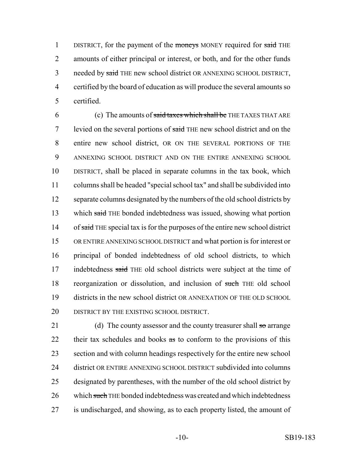1 DISTRICT, for the payment of the moneys MONEY required for said THE 2 amounts of either principal or interest, or both, and for the other funds 3 needed by said THE new school district OR ANNEXING SCHOOL DISTRICT, 4 certified by the board of education as will produce the several amounts so 5 certified.

6 (c) The amounts of said taxes which shall be THE TAXES THAT ARE 7 levied on the several portions of said THE new school district and on the 8 entire new school district, OR ON THE SEVERAL PORTIONS OF THE 9 ANNEXING SCHOOL DISTRICT AND ON THE ENTIRE ANNEXING SCHOOL 10 DISTRICT, shall be placed in separate columns in the tax book, which 11 columns shall be headed "special school tax" and shall be subdivided into 12 separate columns designated by the numbers of the old school districts by 13 which said THE bonded indebtedness was issued, showing what portion 14 of said THE special tax is for the purposes of the entire new school district 15 OR ENTIRE ANNEXING SCHOOL DISTRICT and what portion is for interest or 16 principal of bonded indebtedness of old school districts, to which 17 indebtedness said THE old school districts were subject at the time of 18 reorganization or dissolution, and inclusion of such THE old school 19 districts in the new school district OR ANNEXATION OF THE OLD SCHOOL 20 DISTRICT BY THE EXISTING SCHOOL DISTRICT.

21 (d) The county assessor and the county treasurer shall  $\pi$  arrange 22 their tax schedules and books as to conform to the provisions of this 23 section and with column headings respectively for the entire new school 24 district OR ENTIRE ANNEXING SCHOOL DISTRICT subdivided into columns 25 designated by parentheses, with the number of the old school district by 26 which such THE bonded indebtedness was created and which indebtedness 27 is undischarged, and showing, as to each property listed, the amount of